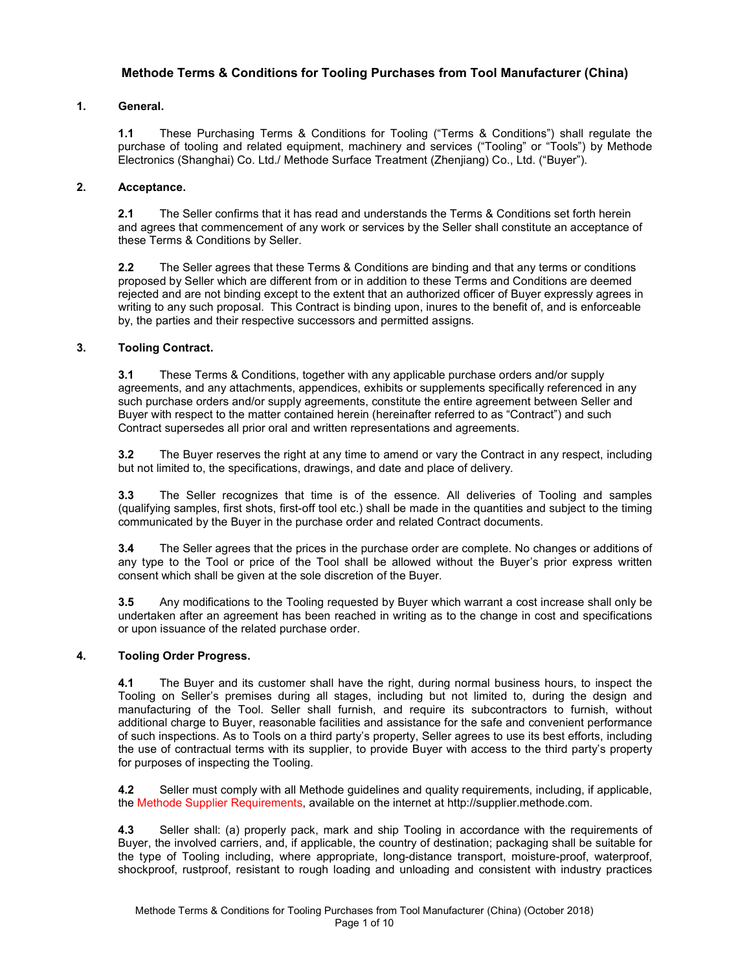# **Methode Terms & Conditions for Tooling Purchases from Tool Manufacturer (China)**

### **1. General.**

**1.1** These Purchasing Terms & Conditions for Tooling ("Terms & Conditions") shall regulate the purchase of tooling and related equipment, machinery and services ("Tooling" or "Tools") by Methode Electronics (Shanghai) Co. Ltd./ Methode Surface Treatment (Zhenjiang) Co., Ltd. ("Buyer").

### **2. Acceptance.**

**2.1** The Seller confirms that it has read and understands the Terms & Conditions set forth herein and agrees that commencement of any work or services by the Seller shall constitute an acceptance of these Terms & Conditions by Seller.

**2.2** The Seller agrees that these Terms & Conditions are binding and that any terms or conditions proposed by Seller which are different from or in addition to these Terms and Conditions are deemed rejected and are not binding except to the extent that an authorized officer of Buyer expressly agrees in writing to any such proposal. This Contract is binding upon, inures to the benefit of, and is enforceable by, the parties and their respective successors and permitted assigns.

### **3. Tooling Contract.**

**3.1** These Terms & Conditions, together with any applicable purchase orders and/or supply agreements, and any attachments, appendices, exhibits or supplements specifically referenced in any such purchase orders and/or supply agreements, constitute the entire agreement between Seller and Buyer with respect to the matter contained herein (hereinafter referred to as "Contract") and such Contract supersedes all prior oral and written representations and agreements.

**3.2** The Buyer reserves the right at any time to amend or vary the Contract in any respect, including but not limited to, the specifications, drawings, and date and place of delivery.

**3.3** The Seller recognizes that time is of the essence. All deliveries of Tooling and samples (qualifying samples, first shots, first-off tool etc.) shall be made in the quantities and subject to the timing communicated by the Buyer in the purchase order and related Contract documents.

**3.4** The Seller agrees that the prices in the purchase order are complete. No changes or additions of any type to the Tool or price of the Tool shall be allowed without the Buyer's prior express written consent which shall be given at the sole discretion of the Buyer.

**3.5** Any modifications to the Tooling requested by Buyer which warrant a cost increase shall only be undertaken after an agreement has been reached in writing as to the change in cost and specifications or upon issuance of the related purchase order.

## **4. Tooling Order Progress.**

**4.1** The Buyer and its customer shall have the right, during normal business hours, to inspect the Tooling on Seller's premises during all stages, including but not limited to, during the design and manufacturing of the Tool. Seller shall furnish, and require its subcontractors to furnish, without additional charge to Buyer, reasonable facilities and assistance for the safe and convenient performance of such inspections. As to Tools on a third party's property, Seller agrees to use its best efforts, including the use of contractual terms with its supplier, to provide Buyer with access to the third party's property for purposes of inspecting the Tooling.

**4.2** Seller must comply with all Methode guidelines and quality requirements, including, if applicable, the Methode Supplier Requirements, available on the internet at http://supplier.methode.com.

**4.3** Seller shall: (a) properly pack, mark and ship Tooling in accordance with the requirements of Buyer, the involved carriers, and, if applicable, the country of destination; packaging shall be suitable for the type of Tooling including, where appropriate, long-distance transport, moisture-proof, waterproof, shockproof, rustproof, resistant to rough loading and unloading and consistent with industry practices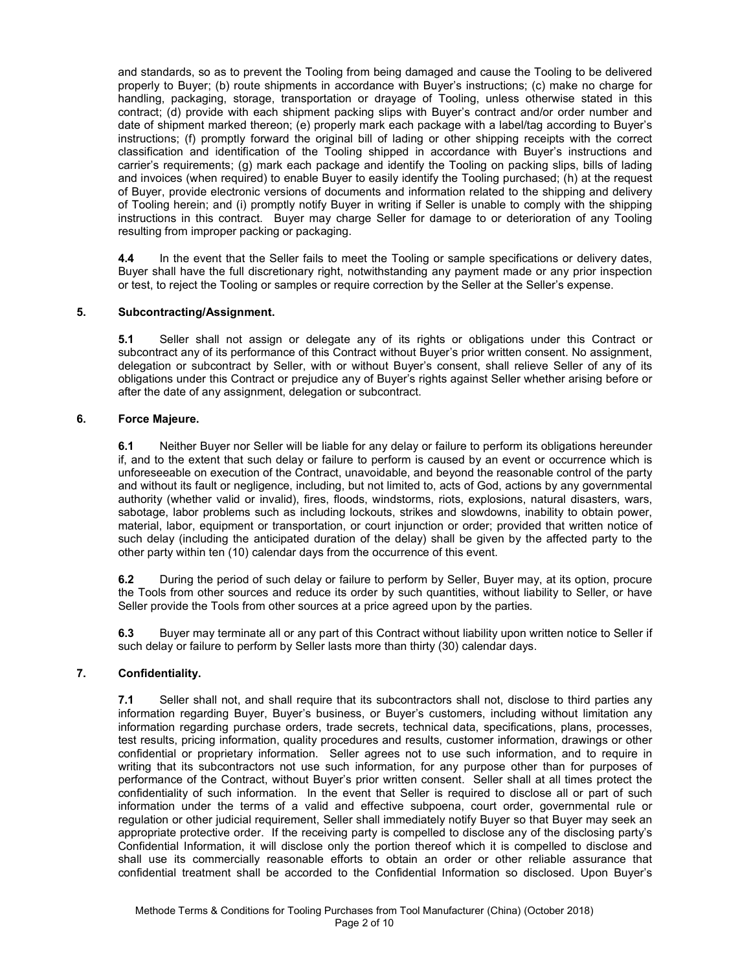and standards, so as to prevent the Tooling from being damaged and cause the Tooling to be delivered properly to Buyer; (b) route shipments in accordance with Buyer's instructions; (c) make no charge for handling, packaging, storage, transportation or drayage of Tooling, unless otherwise stated in this contract; (d) provide with each shipment packing slips with Buyer's contract and/or order number and date of shipment marked thereon; (e) properly mark each package with a label/tag according to Buyer's instructions; (f) promptly forward the original bill of lading or other shipping receipts with the correct classification and identification of the Tooling shipped in accordance with Buyer's instructions and carrier's requirements; (g) mark each package and identify the Tooling on packing slips, bills of lading and invoices (when required) to enable Buyer to easily identify the Tooling purchased; (h) at the request of Buyer, provide electronic versions of documents and information related to the shipping and delivery of Tooling herein; and (i) promptly notify Buyer in writing if Seller is unable to comply with the shipping instructions in this contract.Buyer may charge Seller for damage to or deterioration of any Tooling resulting from improper packing or packaging.

**4.4** In the event that the Seller fails to meet the Tooling or sample specifications or delivery dates, Buyer shall have the full discretionary right, notwithstanding any payment made or any prior inspection or test, to reject the Tooling or samples or require correction by the Seller at the Seller's expense.

### **5. Subcontracting/Assignment.**

**5.1** Seller shall not assign or delegate any of its rights or obligations under this Contract or subcontract any of its performance of this Contract without Buyer's prior written consent. No assignment, delegation or subcontract by Seller, with or without Buyer's consent, shall relieve Seller of any of its obligations under this Contract or prejudice any of Buyer's rights against Seller whether arising before or after the date of any assignment, delegation or subcontract.

### **6. Force Majeure.**

**6.1** Neither Buyer nor Seller will be liable for any delay or failure to perform its obligations hereunder if, and to the extent that such delay or failure to perform is caused by an event or occurrence which is unforeseeable on execution of the Contract, unavoidable, and beyond the reasonable control of the party and without its fault or negligence, including, but not limited to, acts of God, actions by any governmental authority (whether valid or invalid), fires, floods, windstorms, riots, explosions, natural disasters, wars, sabotage, labor problems such as including lockouts, strikes and slowdowns, inability to obtain power, material, labor, equipment or transportation, or court injunction or order; provided that written notice of such delay (including the anticipated duration of the delay) shall be given by the affected party to the other party within ten (10) calendar days from the occurrence of this event.

**6.2** During the period of such delay or failure to perform by Seller, Buyer may, at its option, procure the Tools from other sources and reduce its order by such quantities, without liability to Seller, or have Seller provide the Tools from other sources at a price agreed upon by the parties.

**6.3** Buyer may terminate all or any part of this Contract without liability upon written notice to Seller if such delay or failure to perform by Seller lasts more than thirty (30) calendar days.

## **7. Confidentiality.**

**7.1** Seller shall not, and shall require that its subcontractors shall not, disclose to third parties any information regarding Buyer, Buyer's business, or Buyer's customers, including without limitation any information regarding purchase orders, trade secrets, technical data, specifications, plans, processes, test results, pricing information, quality procedures and results, customer information, drawings or other confidential or proprietary information. Seller agrees not to use such information, and to require in writing that its subcontractors not use such information, for any purpose other than for purposes of performance of the Contract, without Buyer's prior written consent. Seller shall at all times protect the confidentiality of such information. In the event that Seller is required to disclose all or part of such information under the terms of a valid and effective subpoena, court order, governmental rule or regulation or other judicial requirement, Seller shall immediately notify Buyer so that Buyer may seek an appropriate protective order. If the receiving party is compelled to disclose any of the disclosing party's Confidential Information, it will disclose only the portion thereof which it is compelled to disclose and shall use its commercially reasonable efforts to obtain an order or other reliable assurance that confidential treatment shall be accorded to the Confidential Information so disclosed. Upon Buyer's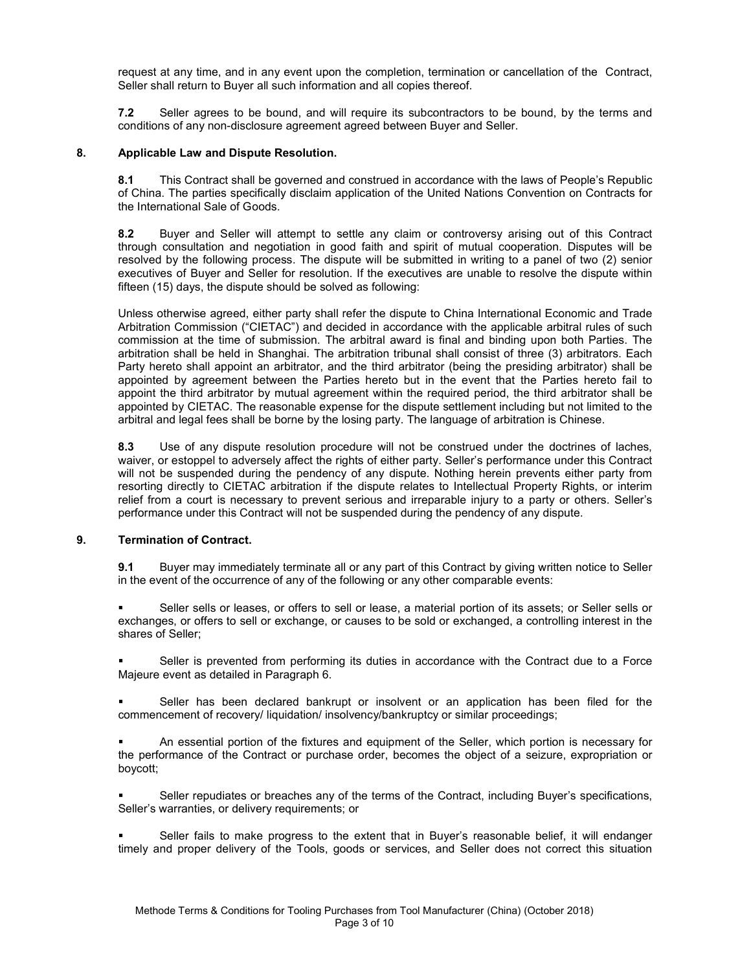request at any time, and in any event upon the completion, termination or cancellation of the Contract, Seller shall return to Buyer all such information and all copies thereof.

**7.2** Seller agrees to be bound, and will require its subcontractors to be bound, by the terms and conditions of any non-disclosure agreement agreed between Buyer and Seller.

### **8. Applicable Law and Dispute Resolution.**

**8.1** This Contract shall be governed and construed in accordance with the laws of People's Republic of China. The parties specifically disclaim application of the United Nations Convention on Contracts for the International Sale of Goods.

**8.2** Buyer and Seller will attempt to settle any claim or controversy arising out of this Contract through consultation and negotiation in good faith and spirit of mutual cooperation. Disputes will be resolved by the following process. The dispute will be submitted in writing to a panel of two (2) senior executives of Buyer and Seller for resolution. If the executives are unable to resolve the dispute within fifteen (15) days, the dispute should be solved as following:

Unless otherwise agreed, either party shall refer the dispute to China International Economic and Trade Arbitration Commission ("CIETAC") and decided in accordance with the applicable arbitral rules of such commission at the time of submission. The arbitral award is final and binding upon both Parties. The arbitration shall be held in Shanghai. The arbitration tribunal shall consist of three (3) arbitrators. Each Party hereto shall appoint an arbitrator, and the third arbitrator (being the presiding arbitrator) shall be appointed by agreement between the Parties hereto but in the event that the Parties hereto fail to appoint the third arbitrator by mutual agreement within the required period, the third arbitrator shall be appointed by CIETAC. The reasonable expense for the dispute settlement including but not limited to the arbitral and legal fees shall be borne by the losing party. The language of arbitration is Chinese.

**8.3** Use of any dispute resolution procedure will not be construed under the doctrines of laches, waiver, or estoppel to adversely affect the rights of either party. Seller's performance under this Contract will not be suspended during the pendency of any dispute. Nothing herein prevents either party from resorting directly to CIETAC arbitration if the dispute relates to Intellectual Property Rights, or interim relief from a court is necessary to prevent serious and irreparable injury to a party or others. Seller's performance under this Contract will not be suspended during the pendency of any dispute.

## **9. Termination of Contract.**

**9.1** Buyer may immediately terminate all or any part of this Contract by giving written notice to Seller in the event of the occurrence of any of the following or any other comparable events:

 Seller sells or leases, or offers to sell or lease, a material portion of its assets; or Seller sells or exchanges, or offers to sell or exchange, or causes to be sold or exchanged, a controlling interest in the shares of Seller;

 Seller is prevented from performing its duties in accordance with the Contract due to a Force Majeure event as detailed in Paragraph 6.

 Seller has been declared bankrupt or insolvent or an application has been filed for the commencement of recovery/ liquidation/ insolvency/bankruptcy or similar proceedings;

 An essential portion of the fixtures and equipment of the Seller, which portion is necessary for the performance of the Contract or purchase order, becomes the object of a seizure, expropriation or boycott;

 Seller repudiates or breaches any of the terms of the Contract, including Buyer's specifications, Seller's warranties, or delivery requirements; or

 Seller fails to make progress to the extent that in Buyer's reasonable belief, it will endanger timely and proper delivery of the Tools, goods or services, and Seller does not correct this situation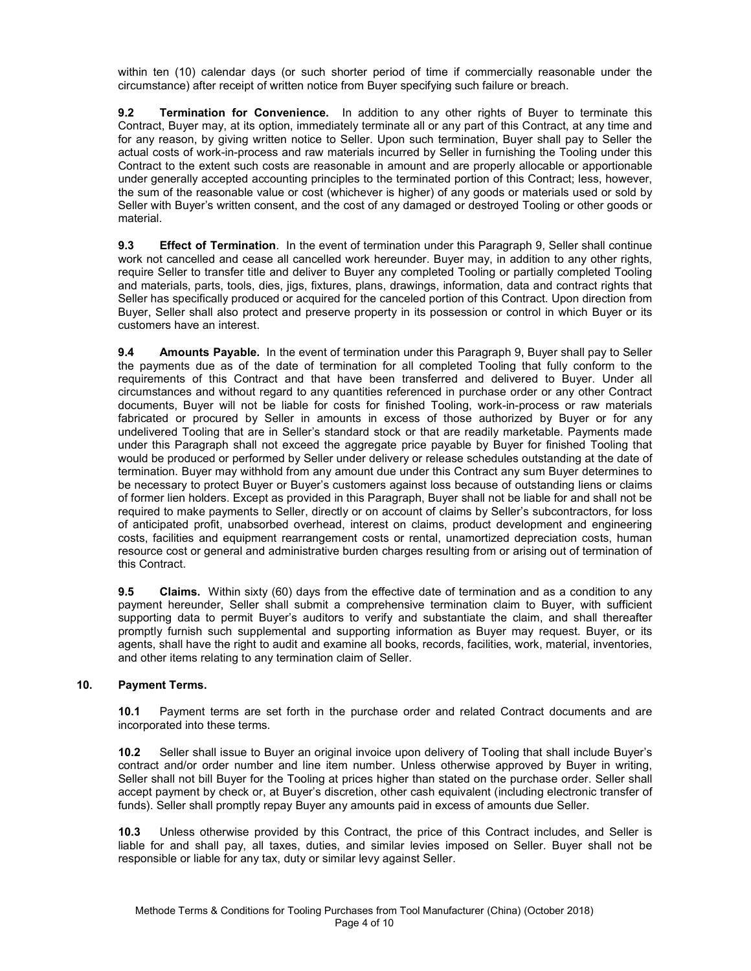within ten (10) calendar days (or such shorter period of time if commercially reasonable under the circumstance) after receipt of written notice from Buyer specifying such failure or breach.

**9.2 Termination for Convenience.** In addition to any other rights of Buyer to terminate this Contract, Buyer may, at its option, immediately terminate all or any part of this Contract, at any time and for any reason, by giving written notice to Seller. Upon such termination, Buyer shall pay to Seller the actual costs of work-in-process and raw materials incurred by Seller in furnishing the Tooling under this Contract to the extent such costs are reasonable in amount and are properly allocable or apportionable under generally accepted accounting principles to the terminated portion of this Contract; less, however, the sum of the reasonable value or cost (whichever is higher) of any goods or materials used or sold by Seller with Buyer's written consent, and the cost of any damaged or destroyed Tooling or other goods or material.

**9.3 Effect of Termination**. In the event of termination under this Paragraph 9, Seller shall continue work not cancelled and cease all cancelled work hereunder. Buyer may, in addition to any other rights, require Seller to transfer title and deliver to Buyer any completed Tooling or partially completed Tooling and materials, parts, tools, dies, jigs, fixtures, plans, drawings, information, data and contract rights that Seller has specifically produced or acquired for the canceled portion of this Contract. Upon direction from Buyer, Seller shall also protect and preserve property in its possession or control in which Buyer or its customers have an interest.

**9.4 Amounts Payable.** In the event of termination under this Paragraph 9, Buyer shall pay to Seller the payments due as of the date of termination for all completed Tooling that fully conform to the requirements of this Contract and that have been transferred and delivered to Buyer. Under all circumstances and without regard to any quantities referenced in purchase order or any other Contract documents, Buyer will not be liable for costs for finished Tooling, work-in-process or raw materials fabricated or procured by Seller in amounts in excess of those authorized by Buyer or for any undelivered Tooling that are in Seller's standard stock or that are readily marketable. Payments made under this Paragraph shall not exceed the aggregate price payable by Buyer for finished Tooling that would be produced or performed by Seller under delivery or release schedules outstanding at the date of termination. Buyer may withhold from any amount due under this Contract any sum Buyer determines to be necessary to protect Buyer or Buyer's customers against loss because of outstanding liens or claims of former lien holders. Except as provided in this Paragraph, Buyer shall not be liable for and shall not be required to make payments to Seller, directly or on account of claims by Seller's subcontractors, for loss of anticipated profit, unabsorbed overhead, interest on claims, product development and engineering costs, facilities and equipment rearrangement costs or rental, unamortized depreciation costs, human resource cost or general and administrative burden charges resulting from or arising out of termination of this Contract.

**9.5 Claims.** Within sixty (60) days from the effective date of termination and as a condition to any payment hereunder, Seller shall submit a comprehensive termination claim to Buyer, with sufficient supporting data to permit Buyer's auditors to verify and substantiate the claim, and shall thereafter promptly furnish such supplemental and supporting information as Buyer may request. Buyer, or its agents, shall have the right to audit and examine all books, records, facilities, work, material, inventories, and other items relating to any termination claim of Seller.

## **10. Payment Terms.**

**10.1** Payment terms are set forth in the purchase order and related Contract documents and are incorporated into these terms.

**10.2** Seller shall issue to Buyer an original invoice upon delivery of Tooling that shall include Buyer's contract and/or order number and line item number. Unless otherwise approved by Buyer in writing, Seller shall not bill Buyer for the Tooling at prices higher than stated on the purchase order. Seller shall accept payment by check or, at Buyer's discretion, other cash equivalent (including electronic transfer of funds). Seller shall promptly repay Buyer any amounts paid in excess of amounts due Seller.

**10.3** Unless otherwise provided by this Contract, the price of this Contract includes, and Seller is liable for and shall pay, all taxes, duties, and similar levies imposed on Seller. Buyer shall not be responsible or liable for any tax, duty or similar levy against Seller.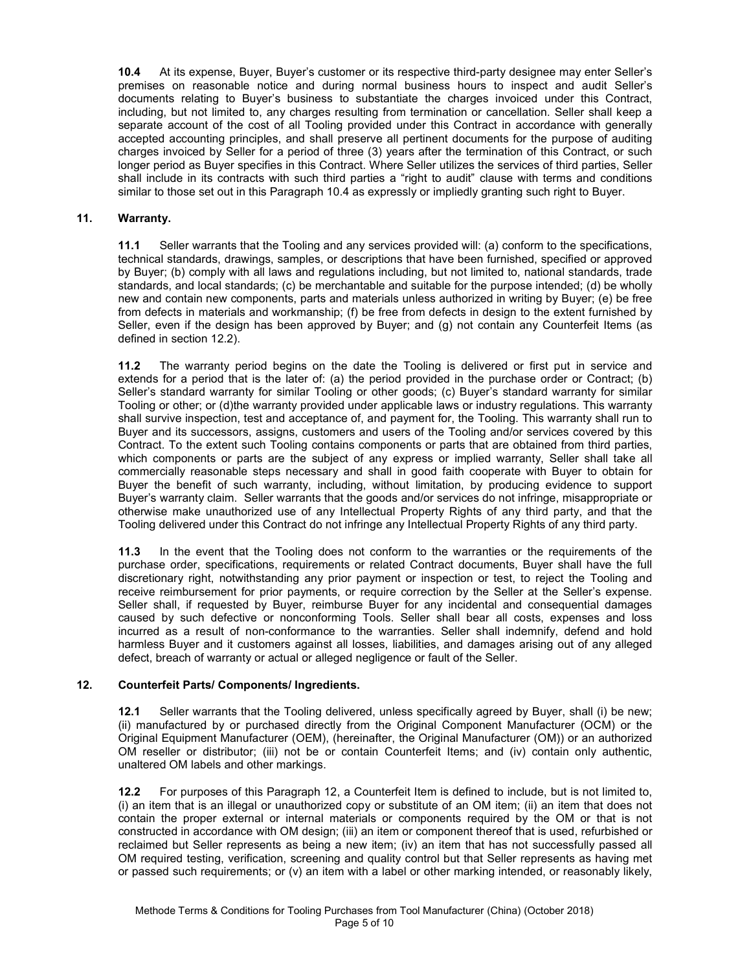**10.4** At its expense, Buyer, Buyer's customer or its respective third-party designee may enter Seller's premises on reasonable notice and during normal business hours to inspect and audit Seller's documents relating to Buyer's business to substantiate the charges invoiced under this Contract, including, but not limited to, any charges resulting from termination or cancellation. Seller shall keep a separate account of the cost of all Tooling provided under this Contract in accordance with generally accepted accounting principles, and shall preserve all pertinent documents for the purpose of auditing charges invoiced by Seller for a period of three (3) years after the termination of this Contract, or such longer period as Buyer specifies in this Contract. Where Seller utilizes the services of third parties, Seller shall include in its contracts with such third parties a "right to audit" clause with terms and conditions similar to those set out in this Paragraph 10.4 as expressly or impliedly granting such right to Buyer.

## **11. Warranty.**

**11.1** Seller warrants that the Tooling and any services provided will: (a) conform to the specifications, technical standards, drawings, samples, or descriptions that have been furnished, specified or approved by Buyer; (b) comply with all laws and regulations including, but not limited to, national standards, trade standards, and local standards; (c) be merchantable and suitable for the purpose intended; (d) be wholly new and contain new components, parts and materials unless authorized in writing by Buyer; (e) be free from defects in materials and workmanship; (f) be free from defects in design to the extent furnished by Seller, even if the design has been approved by Buyer; and (g) not contain any Counterfeit Items (as defined in section 12.2).

**11.2** The warranty period begins on the date the Tooling is delivered or first put in service and extends for a period that is the later of: (a) the period provided in the purchase order or Contract; (b) Seller's standard warranty for similar Tooling or other goods; (c) Buyer's standard warranty for similar Tooling or other; or (d)the warranty provided under applicable laws or industry regulations. This warranty shall survive inspection, test and acceptance of, and payment for, the Tooling. This warranty shall run to Buyer and its successors, assigns, customers and users of the Tooling and/or services covered by this Contract. To the extent such Tooling contains components or parts that are obtained from third parties, which components or parts are the subject of any express or implied warranty, Seller shall take all commercially reasonable steps necessary and shall in good faith cooperate with Buyer to obtain for Buyer the benefit of such warranty, including, without limitation, by producing evidence to support Buyer's warranty claim. Seller warrants that the goods and/or services do not infringe, misappropriate or otherwise make unauthorized use of any Intellectual Property Rights of any third party, and that the Tooling delivered under this Contract do not infringe any Intellectual Property Rights of any third party.

**11.3** In the event that the Tooling does not conform to the warranties or the requirements of the purchase order, specifications, requirements or related Contract documents, Buyer shall have the full discretionary right, notwithstanding any prior payment or inspection or test, to reject the Tooling and receive reimbursement for prior payments, or require correction by the Seller at the Seller's expense. Seller shall, if requested by Buyer, reimburse Buyer for any incidental and consequential damages caused by such defective or nonconforming Tools. Seller shall bear all costs, expenses and loss incurred as a result of non-conformance to the warranties. Seller shall indemnify, defend and hold harmless Buyer and it customers against all losses, liabilities, and damages arising out of any alleged defect, breach of warranty or actual or alleged negligence or fault of the Seller.

## **12. Counterfeit Parts/ Components/ Ingredients.**

**12.1** Seller warrants that the Tooling delivered, unless specifically agreed by Buyer, shall (i) be new; (ii) manufactured by or purchased directly from the Original Component Manufacturer (OCM) or the Original Equipment Manufacturer (OEM), (hereinafter, the Original Manufacturer (OM)) or an authorized OM reseller or distributor; (iii) not be or contain Counterfeit Items; and (iv) contain only authentic, unaltered OM labels and other markings.

**12.2** For purposes of this Paragraph 12, a Counterfeit Item is defined to include, but is not limited to, (i) an item that is an illegal or unauthorized copy or substitute of an OM item; (ii) an item that does not contain the proper external or internal materials or components required by the OM or that is not constructed in accordance with OM design; (iii) an item or component thereof that is used, refurbished or reclaimed but Seller represents as being a new item; (iv) an item that has not successfully passed all OM required testing, verification, screening and quality control but that Seller represents as having met or passed such requirements; or (v) an item with a label or other marking intended, or reasonably likely,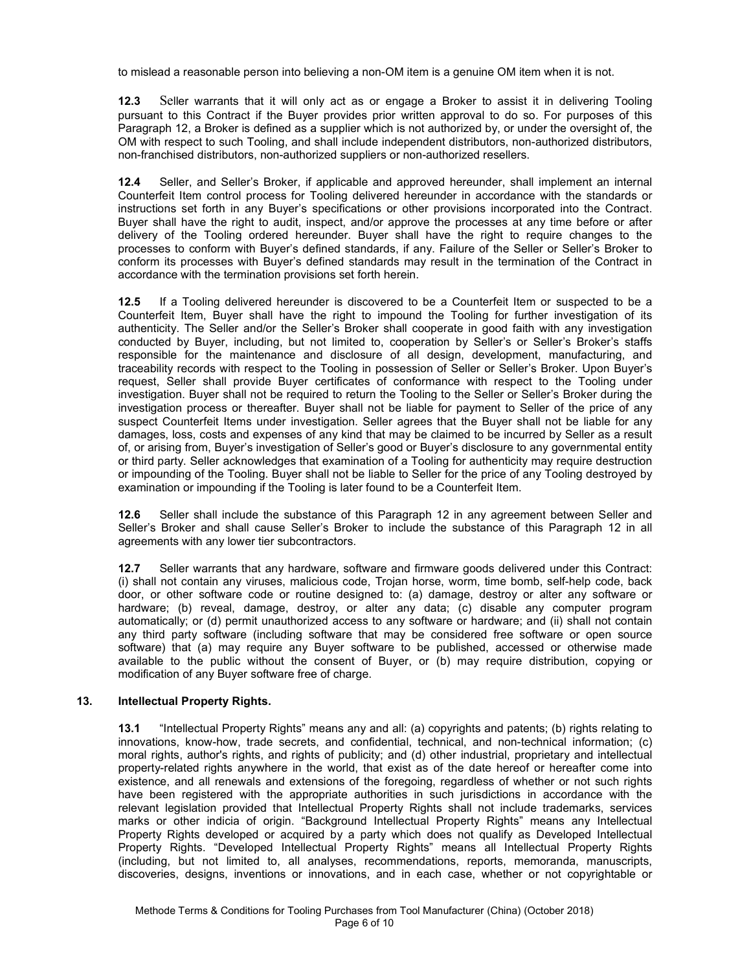to mislead a reasonable person into believing a non-OM item is a genuine OM item when it is not.

**12.3** Seller warrants that it will only act as or engage a Broker to assist it in delivering Tooling pursuant to this Contract if the Buyer provides prior written approval to do so. For purposes of this Paragraph 12, a Broker is defined as a supplier which is not authorized by, or under the oversight of, the OM with respect to such Tooling, and shall include independent distributors, non-authorized distributors, non-franchised distributors, non-authorized suppliers or non-authorized resellers.

**12.4** Seller, and Seller's Broker, if applicable and approved hereunder, shall implement an internal Counterfeit Item control process for Tooling delivered hereunder in accordance with the standards or instructions set forth in any Buyer's specifications or other provisions incorporated into the Contract. Buyer shall have the right to audit, inspect, and/or approve the processes at any time before or after delivery of the Tooling ordered hereunder. Buyer shall have the right to require changes to the processes to conform with Buyer's defined standards, if any. Failure of the Seller or Seller's Broker to conform its processes with Buyer's defined standards may result in the termination of the Contract in accordance with the termination provisions set forth herein.

**12.5** If a Tooling delivered hereunder is discovered to be a Counterfeit Item or suspected to be a Counterfeit Item, Buyer shall have the right to impound the Tooling for further investigation of its authenticity. The Seller and/or the Seller's Broker shall cooperate in good faith with any investigation conducted by Buyer, including, but not limited to, cooperation by Seller's or Seller's Broker's staffs responsible for the maintenance and disclosure of all design, development, manufacturing, and traceability records with respect to the Tooling in possession of Seller or Seller's Broker. Upon Buyer's request, Seller shall provide Buyer certificates of conformance with respect to the Tooling under investigation. Buyer shall not be required to return the Tooling to the Seller or Seller's Broker during the investigation process or thereafter. Buyer shall not be liable for payment to Seller of the price of any suspect Counterfeit Items under investigation. Seller agrees that the Buyer shall not be liable for any damages, loss, costs and expenses of any kind that may be claimed to be incurred by Seller as a result of, or arising from, Buyer's investigation of Seller's good or Buyer's disclosure to any governmental entity or third party. Seller acknowledges that examination of a Tooling for authenticity may require destruction or impounding of the Tooling. Buyer shall not be liable to Seller for the price of any Tooling destroyed by examination or impounding if the Tooling is later found to be a Counterfeit Item.

**12.6** Seller shall include the substance of this Paragraph 12 in any agreement between Seller and Seller's Broker and shall cause Seller's Broker to include the substance of this Paragraph 12 in all agreements with any lower tier subcontractors.

**12.7** Seller warrants that any hardware, software and firmware goods delivered under this Contract: (i) shall not contain any viruses, malicious code, Trojan horse, worm, time bomb, self-help code, back door, or other software code or routine designed to: (a) damage, destroy or alter any software or hardware; (b) reveal, damage, destroy, or alter any data; (c) disable any computer program automatically; or (d) permit unauthorized access to any software or hardware; and (ii) shall not contain any third party software (including software that may be considered free software or open source software) that (a) may require any Buyer software to be published, accessed or otherwise made available to the public without the consent of Buyer, or (b) may require distribution, copying or modification of any Buyer software free of charge.

## **13. Intellectual Property Rights.**

**13.1** "Intellectual Property Rights" means any and all: (a) copyrights and patents; (b) rights relating to innovations, know-how, trade secrets, and confidential, technical, and non-technical information; (c) moral rights, author's rights, and rights of publicity; and (d) other industrial, proprietary and intellectual property-related rights anywhere in the world, that exist as of the date hereof or hereafter come into existence, and all renewals and extensions of the foregoing, regardless of whether or not such rights have been registered with the appropriate authorities in such jurisdictions in accordance with the relevant legislation provided that Intellectual Property Rights shall not include trademarks, services marks or other indicia of origin. "Background Intellectual Property Rights" means any Intellectual Property Rights developed or acquired by a party which does not qualify as Developed Intellectual Property Rights. "Developed Intellectual Property Rights" means all Intellectual Property Rights (including, but not limited to, all analyses, recommendations, reports, memoranda, manuscripts, discoveries, designs, inventions or innovations, and in each case, whether or not copyrightable or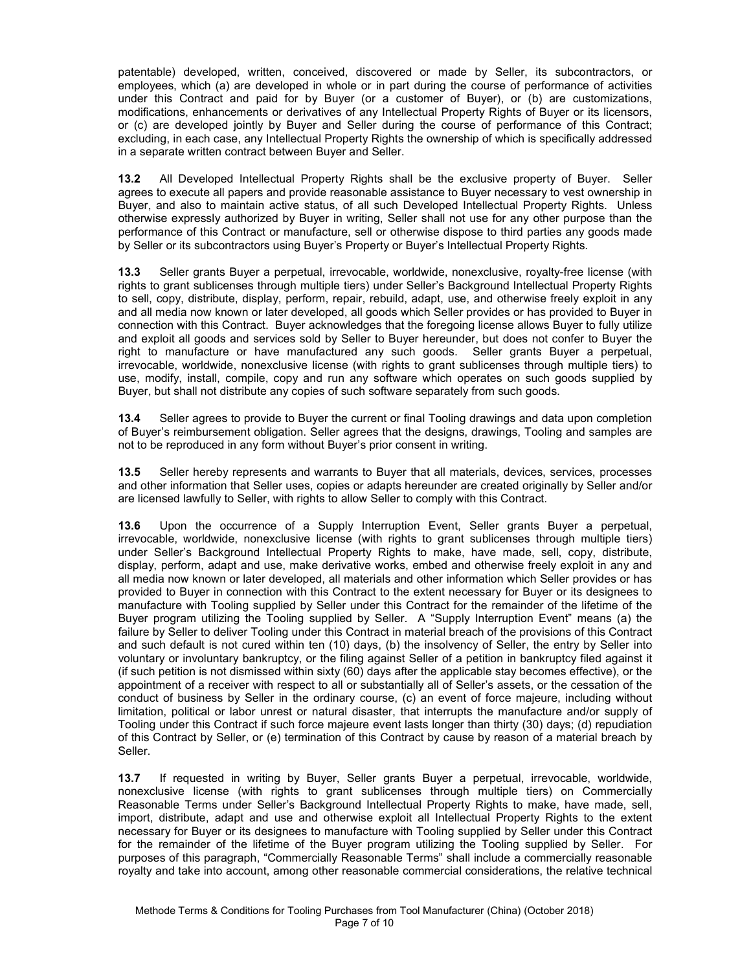patentable) developed, written, conceived, discovered or made by Seller, its subcontractors, or employees, which (a) are developed in whole or in part during the course of performance of activities under this Contract and paid for by Buyer (or a customer of Buyer), or (b) are customizations, modifications, enhancements or derivatives of any Intellectual Property Rights of Buyer or its licensors, or (c) are developed jointly by Buyer and Seller during the course of performance of this Contract; excluding, in each case, any Intellectual Property Rights the ownership of which is specifically addressed in a separate written contract between Buyer and Seller.

**13.2** All Developed Intellectual Property Rights shall be the exclusive property of Buyer. Seller agrees to execute all papers and provide reasonable assistance to Buyer necessary to vest ownership in Buyer, and also to maintain active status, of all such Developed Intellectual Property Rights. Unless otherwise expressly authorized by Buyer in writing, Seller shall not use for any other purpose than the performance of this Contract or manufacture, sell or otherwise dispose to third parties any goods made by Seller or its subcontractors using Buyer's Property or Buyer's Intellectual Property Rights.

**13.3** Seller grants Buyer a perpetual, irrevocable, worldwide, nonexclusive, royalty-free license (with rights to grant sublicenses through multiple tiers) under Seller's Background Intellectual Property Rights to sell, copy, distribute, display, perform, repair, rebuild, adapt, use, and otherwise freely exploit in any and all media now known or later developed, all goods which Seller provides or has provided to Buyer in connection with this Contract. Buyer acknowledges that the foregoing license allows Buyer to fully utilize and exploit all goods and services sold by Seller to Buyer hereunder, but does not confer to Buyer the right to manufacture or have manufactured any such goods. Seller grants Buyer a perpetual, irrevocable, worldwide, nonexclusive license (with rights to grant sublicenses through multiple tiers) to use, modify, install, compile, copy and run any software which operates on such goods supplied by Buyer, but shall not distribute any copies of such software separately from such goods.

**13.4** Seller agrees to provide to Buyer the current or final Tooling drawings and data upon completion of Buyer's reimbursement obligation. Seller agrees that the designs, drawings, Tooling and samples are not to be reproduced in any form without Buyer's prior consent in writing.

**13.5** Seller hereby represents and warrants to Buyer that all materials, devices, services, processes and other information that Seller uses, copies or adapts hereunder are created originally by Seller and/or are licensed lawfully to Seller, with rights to allow Seller to comply with this Contract.

**13.6** Upon the occurrence of a Supply Interruption Event, Seller grants Buyer a perpetual, irrevocable, worldwide, nonexclusive license (with rights to grant sublicenses through multiple tiers) under Seller's Background Intellectual Property Rights to make, have made, sell, copy, distribute, display, perform, adapt and use, make derivative works, embed and otherwise freely exploit in any and all media now known or later developed, all materials and other information which Seller provides or has provided to Buyer in connection with this Contract to the extent necessary for Buyer or its designees to manufacture with Tooling supplied by Seller under this Contract for the remainder of the lifetime of the Buyer program utilizing the Tooling supplied by Seller. A "Supply Interruption Event" means (a) the failure by Seller to deliver Tooling under this Contract in material breach of the provisions of this Contract and such default is not cured within ten (10) days, (b) the insolvency of Seller, the entry by Seller into voluntary or involuntary bankruptcy, or the filing against Seller of a petition in bankruptcy filed against it (if such petition is not dismissed within sixty (60) days after the applicable stay becomes effective), or the appointment of a receiver with respect to all or substantially all of Seller's assets, or the cessation of the conduct of business by Seller in the ordinary course, (c) an event of force majeure, including without limitation, political or labor unrest or natural disaster, that interrupts the manufacture and/or supply of Tooling under this Contract if such force majeure event lasts longer than thirty (30) days; (d) repudiation of this Contract by Seller, or (e) termination of this Contract by cause by reason of a material breach by Seller.

**13.7** If requested in writing by Buyer, Seller grants Buyer a perpetual, irrevocable, worldwide, nonexclusive license (with rights to grant sublicenses through multiple tiers) on Commercially Reasonable Terms under Seller's Background Intellectual Property Rights to make, have made, sell, import, distribute, adapt and use and otherwise exploit all Intellectual Property Rights to the extent necessary for Buyer or its designees to manufacture with Tooling supplied by Seller under this Contract for the remainder of the lifetime of the Buyer program utilizing the Tooling supplied by Seller. For purposes of this paragraph, "Commercially Reasonable Terms" shall include a commercially reasonable royalty and take into account, among other reasonable commercial considerations, the relative technical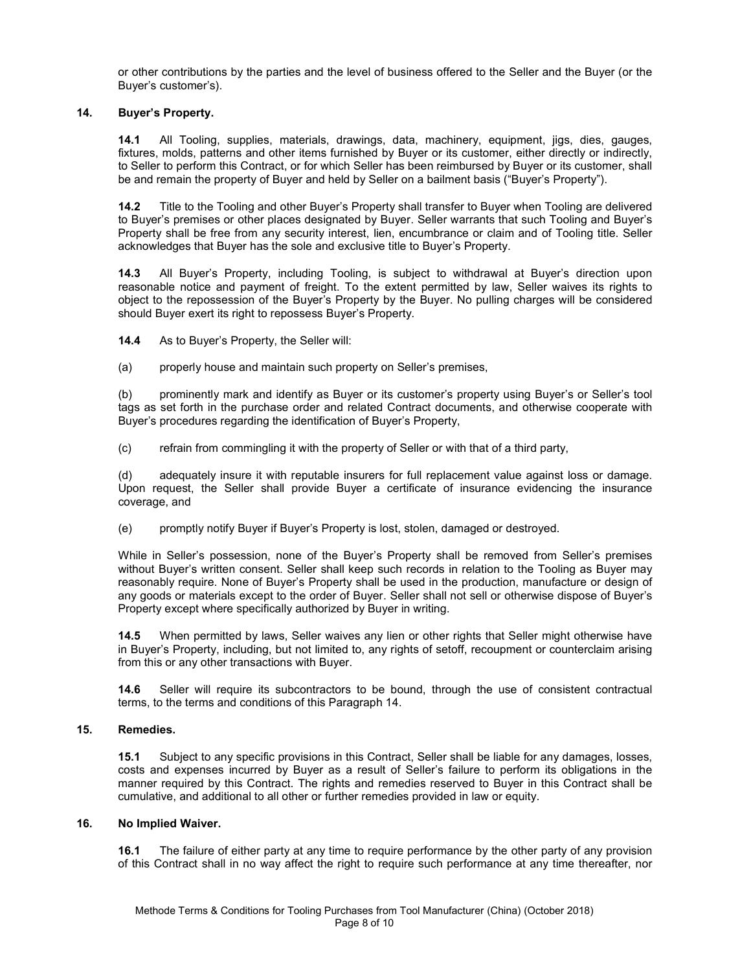or other contributions by the parties and the level of business offered to the Seller and the Buyer (or the Buyer's customer's).

## **14. Buyer's Property.**

**14.1** All Tooling, supplies, materials, drawings, data, machinery, equipment, jigs, dies, gauges, fixtures, molds, patterns and other items furnished by Buyer or its customer, either directly or indirectly, to Seller to perform this Contract, or for which Seller has been reimbursed by Buyer or its customer, shall be and remain the property of Buyer and held by Seller on a bailment basis ("Buyer's Property").

**14.2** Title to the Tooling and other Buyer's Property shall transfer to Buyer when Tooling are delivered to Buyer's premises or other places designated by Buyer. Seller warrants that such Tooling and Buyer's Property shall be free from any security interest, lien, encumbrance or claim and of Tooling title. Seller acknowledges that Buyer has the sole and exclusive title to Buyer's Property.

**14.3** All Buyer's Property, including Tooling, is subject to withdrawal at Buyer's direction upon reasonable notice and payment of freight. To the extent permitted by law, Seller waives its rights to object to the repossession of the Buyer's Property by the Buyer. No pulling charges will be considered should Buyer exert its right to repossess Buyer's Property.

**14.4** As to Buyer's Property, the Seller will:

(a) properly house and maintain such property on Seller's premises,

(b) prominently mark and identify as Buyer or its customer's property using Buyer's or Seller's tool tags as set forth in the purchase order and related Contract documents, and otherwise cooperate with Buyer's procedures regarding the identification of Buyer's Property,

(c) refrain from commingling it with the property of Seller or with that of a third party,

(d) adequately insure it with reputable insurers for full replacement value against loss or damage. Upon request, the Seller shall provide Buyer a certificate of insurance evidencing the insurance coverage, and

(e) promptly notify Buyer if Buyer's Property is lost, stolen, damaged or destroyed.

While in Seller's possession, none of the Buyer's Property shall be removed from Seller's premises without Buyer's written consent. Seller shall keep such records in relation to the Tooling as Buyer may reasonably require. None of Buyer's Property shall be used in the production, manufacture or design of any goods or materials except to the order of Buyer. Seller shall not sell or otherwise dispose of Buyer's Property except where specifically authorized by Buyer in writing.

**14.5** When permitted by laws, Seller waives any lien or other rights that Seller might otherwise have in Buyer's Property, including, but not limited to, any rights of setoff, recoupment or counterclaim arising from this or any other transactions with Buyer.

**14.6** Seller will require its subcontractors to be bound, through the use of consistent contractual terms, to the terms and conditions of this Paragraph 14.

## **15. Remedies.**

**15.1** Subject to any specific provisions in this Contract, Seller shall be liable for any damages, losses, costs and expenses incurred by Buyer as a result of Seller's failure to perform its obligations in the manner required by this Contract. The rights and remedies reserved to Buyer in this Contract shall be cumulative, and additional to all other or further remedies provided in law or equity.

## **16. No Implied Waiver.**

**16.1** The failure of either party at any time to require performance by the other party of any provision of this Contract shall in no way affect the right to require such performance at any time thereafter, nor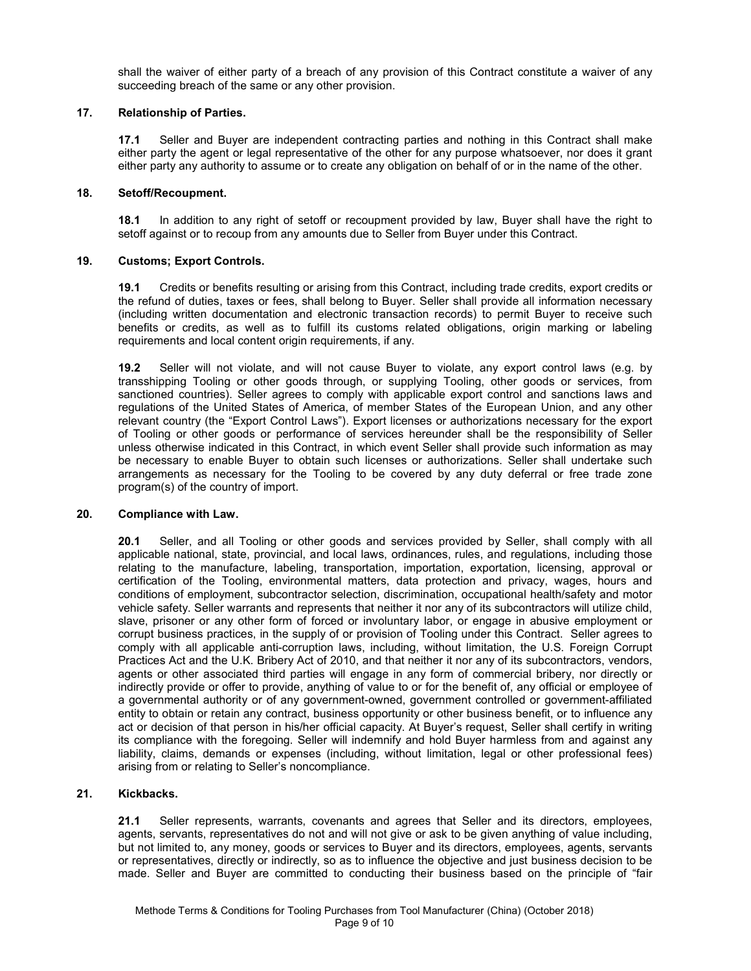shall the waiver of either party of a breach of any provision of this Contract constitute a waiver of any succeeding breach of the same or any other provision.

## **17. Relationship of Parties.**

**17.1** Seller and Buyer are independent contracting parties and nothing in this Contract shall make either party the agent or legal representative of the other for any purpose whatsoever, nor does it grant either party any authority to assume or to create any obligation on behalf of or in the name of the other.

#### **18. Setoff/Recoupment.**

**18.1** In addition to any right of setoff or recoupment provided by law, Buyer shall have the right to setoff against or to recoup from any amounts due to Seller from Buyer under this Contract.

### **19. Customs; Export Controls.**

**19.1** Credits or benefits resulting or arising from this Contract, including trade credits, export credits or the refund of duties, taxes or fees, shall belong to Buyer. Seller shall provide all information necessary (including written documentation and electronic transaction records) to permit Buyer to receive such benefits or credits, as well as to fulfill its customs related obligations, origin marking or labeling requirements and local content origin requirements, if any.

**19.2** Seller will not violate, and will not cause Buyer to violate, any export control laws (e.g. by transshipping Tooling or other goods through, or supplying Tooling, other goods or services, from sanctioned countries). Seller agrees to comply with applicable export control and sanctions laws and regulations of the United States of America, of member States of the European Union, and any other relevant country (the "Export Control Laws"). Export licenses or authorizations necessary for the export of Tooling or other goods or performance of services hereunder shall be the responsibility of Seller unless otherwise indicated in this Contract, in which event Seller shall provide such information as may be necessary to enable Buyer to obtain such licenses or authorizations. Seller shall undertake such arrangements as necessary for the Tooling to be covered by any duty deferral or free trade zone program(s) of the country of import.

#### **20. Compliance with Law.**

**20.1** Seller, and all Tooling or other goods and services provided by Seller, shall comply with all applicable national, state, provincial, and local laws, ordinances, rules, and regulations, including those relating to the manufacture, labeling, transportation, importation, exportation, licensing, approval or certification of the Tooling, environmental matters, data protection and privacy, wages, hours and conditions of employment, subcontractor selection, discrimination, occupational health/safety and motor vehicle safety. Seller warrants and represents that neither it nor any of its subcontractors will utilize child, slave, prisoner or any other form of forced or involuntary labor, or engage in abusive employment or corrupt business practices, in the supply of or provision of Tooling under this Contract. Seller agrees to comply with all applicable anti-corruption laws, including, without limitation, the U.S. Foreign Corrupt Practices Act and the U.K. Bribery Act of 2010, and that neither it nor any of its subcontractors, vendors, agents or other associated third parties will engage in any form of commercial bribery, nor directly or indirectly provide or offer to provide, anything of value to or for the benefit of, any official or employee of a governmental authority or of any government-owned, government controlled or government-affiliated entity to obtain or retain any contract, business opportunity or other business benefit, or to influence any act or decision of that person in his/her official capacity. At Buyer's request, Seller shall certify in writing its compliance with the foregoing. Seller will indemnify and hold Buyer harmless from and against any liability, claims, demands or expenses (including, without limitation, legal or other professional fees) arising from or relating to Seller's noncompliance.

#### **21. Kickbacks.**

**21.1** Seller represents, warrants, covenants and agrees that Seller and its directors, employees, agents, servants, representatives do not and will not give or ask to be given anything of value including, but not limited to, any money, goods or services to Buyer and its directors, employees, agents, servants or representatives, directly or indirectly, so as to influence the objective and just business decision to be made. Seller and Buyer are committed to conducting their business based on the principle of "fair